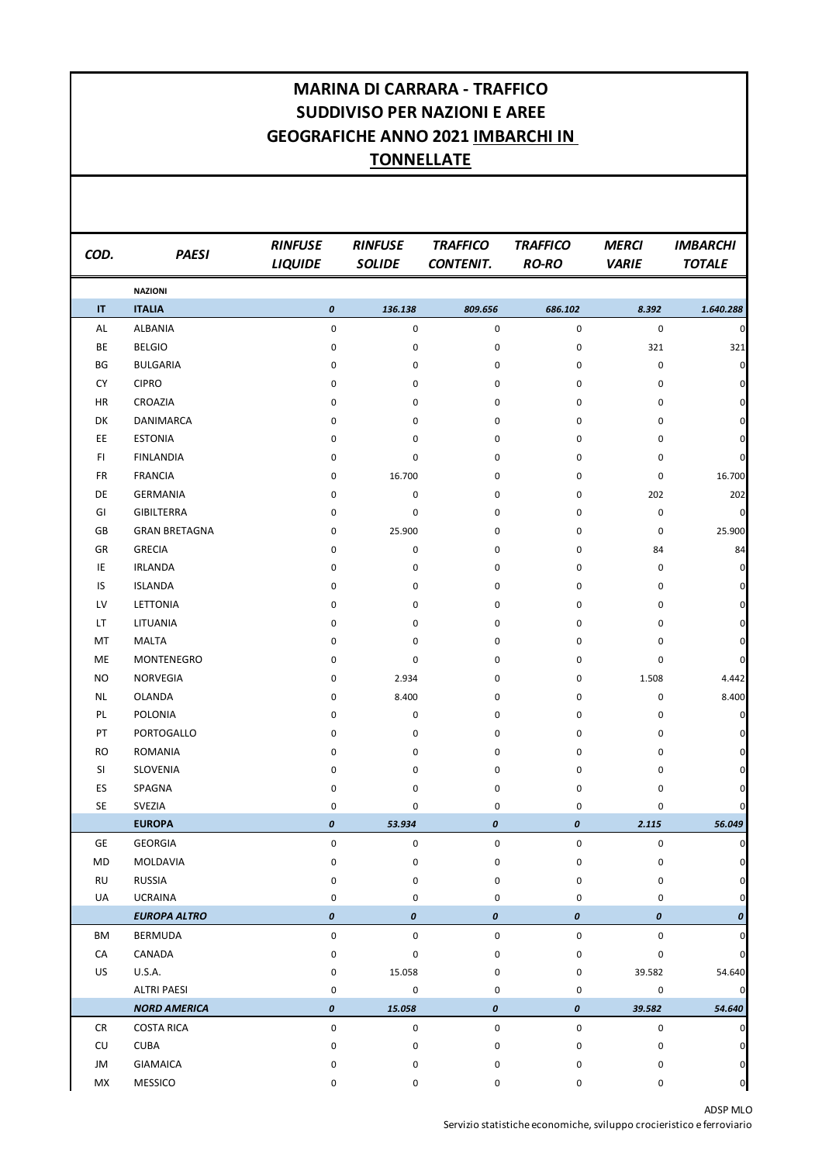## **MARINA DI CARRARA - TRAFFICO SUDDIVISO PER NAZIONI E AREE GEOGRAFICHE ANNO 2021 IMBARCHI IN TONNELLATE**

| COD.      | <b>PAESI</b>         | <b>RINFUSE</b><br><b>LIQUIDE</b> | <b>RINFUSE</b><br><b>SOLIDE</b> | <b>TRAFFICO</b><br><b>CONTENIT.</b> | <b>TRAFFICO</b><br><b>RO-RO</b> | <b>MERCI</b><br><b>VARIE</b> | <b>IMBARCHI</b><br><b>TOTALE</b> |
|-----------|----------------------|----------------------------------|---------------------------------|-------------------------------------|---------------------------------|------------------------------|----------------------------------|
|           | <b>NAZIONI</b>       |                                  |                                 |                                     |                                 |                              |                                  |
| IT        | <b>ITALIA</b>        | $\pmb{o}$                        | 136.138                         | 809.656                             | 686.102                         | 8.392                        | 1.640.288                        |
| AL        | <b>ALBANIA</b>       | $\pmb{0}$                        | 0                               | 0                                   | 0                               | 0                            | $\overline{0}$                   |
| BE        | <b>BELGIO</b>        | 0                                | 0                               | 0                                   | 0                               | 321                          | 321                              |
| BG        | <b>BULGARIA</b>      | 0                                | 0                               | 0                                   | 0                               | 0                            | $\mathbf 0$                      |
| CY        | <b>CIPRO</b>         | 0                                | 0                               | 0                                   | 0                               | 0                            | $\overline{0}$                   |
| HR        | CROAZIA              | 0                                | 0                               | 0                                   | 0                               | 0                            | $\mathbf 0$                      |
| DK        | <b>DANIMARCA</b>     | 0                                | 0                               | 0                                   | 0                               | 0                            | $\mathbf 0$                      |
| EE        | <b>ESTONIA</b>       | 0                                | $\mathsf 0$                     | 0                                   | 0                               | 0                            | $\mathbf{0}$                     |
| FI.       | <b>FINLANDIA</b>     | 0                                | 0                               | 0                                   | 0                               | 0                            | $\overline{0}$                   |
| <b>FR</b> | <b>FRANCIA</b>       | 0                                | 16.700                          | 0                                   | 0                               | 0                            | 16.700                           |
| DE        | <b>GERMANIA</b>      | 0                                | 0                               | 0                                   | 0                               | 202                          | 202                              |
| GI        | <b>GIBILTERRA</b>    | 0                                | 0                               | 0                                   | 0                               | 0                            | $\mathbf{0}$                     |
| GB        | <b>GRAN BRETAGNA</b> | 0                                | 25.900                          | 0                                   | 0                               | 0                            | 25.900                           |
| GR        | <b>GRECIA</b>        | 0                                | $\mathsf 0$                     | 0                                   | 0                               | 84                           | 84                               |
| IE        | <b>IRLANDA</b>       | 0                                | 0                               | 0                                   | 0                               | 0                            | $\mathbf 0$                      |
| IS        | <b>ISLANDA</b>       | 0                                | 0                               | 0                                   | 0                               | 0                            | $\mathbf 0$                      |
| LV        | <b>LETTONIA</b>      | 0                                | $\mathsf 0$                     | 0                                   | 0                               | 0                            | $\mathbf 0$                      |
| LT.       | LITUANIA             | 0                                | $\mathsf 0$                     | 0                                   | 0                               | 0                            | $\mathbf{0}$                     |
| MT        | <b>MALTA</b>         | 0                                | $\mathsf 0$                     | 0                                   | 0                               | 0                            | $\mathbf{0}$                     |
| ME        | MONTENEGRO           | 0                                | 0                               | 0                                   | 0                               | 0                            | $\mathbf{0}$                     |
| NO.       | NORVEGIA             | 0                                | 2.934                           | 0                                   | 0                               | 1.508                        | 4.442                            |
| NL        | <b>OLANDA</b>        | 0                                | 8.400                           | 0                                   | 0                               | 0                            | 8.400                            |
| PL        | POLONIA              | 0                                | 0                               | 0                                   | 0                               | 0                            | $\mathbf 0$                      |
| PT        | PORTOGALLO           | 0                                | 0                               | 0                                   | 0                               | 0                            | $\mathbf 0$                      |
| <b>RO</b> | <b>ROMANIA</b>       | 0                                | 0                               | 0                                   | 0                               | 0                            | $\mathbf 0$                      |
| SI        | SLOVENIA             | 0                                | 0                               | 0                                   | 0                               | 0                            | $\mathbf 0$                      |
| ES        | SPAGNA               | 0                                | 0                               | 0                                   | 0                               | 0                            | $\overline{0}$                   |
| <b>SE</b> | SVEZIA               | 0                                | $\mathbf 0$                     | 0                                   | 0                               | 0                            | $\mathbf{0}$                     |
|           | <b>EUROPA</b>        | 0                                | 53.934                          | $\boldsymbol{o}$                    | 0                               | 2.115                        | 56.049                           |
| GE        | <b>GEORGIA</b>       | $\pmb{0}$                        | 0                               | 0                                   | 0                               | 0                            | $\pmb{0}$                        |
| MD        | MOLDAVIA             | 0                                | 0                               | $\pmb{0}$                           | $\pmb{0}$                       | 0                            | $\overline{0}$                   |
| <b>RU</b> | <b>RUSSIA</b>        | 0                                | 0                               | 0                                   | 0                               | 0                            | $\mathbf{0}$                     |
| UA        | <b>UCRAINA</b>       | 0                                | 0                               | 0                                   | $\pmb{0}$                       | 0                            | $\overline{0}$                   |
|           | <b>EUROPA ALTRO</b>  | $\boldsymbol{o}$                 | 0                               | $\boldsymbol{o}$                    | 0                               | 0                            | $\pmb{o}$                        |
| ΒM        | <b>BERMUDA</b>       | 0                                | $\mathsf{O}\xspace$             | 0                                   | 0                               | $\mathbf 0$                  | $\overline{0}$                   |
| CA        | CANADA               | 0                                | 0                               | 0                                   | 0                               | 0                            | $\mathbf{0}$                     |
| US        | U.S.A.               | 0                                | 15.058                          | 0                                   | 0                               | 39.582                       | 54.640                           |
|           | <b>ALTRI PAESI</b>   | 0                                | 0                               | 0                                   | $\pmb{0}$                       | 0                            | $\mathbf 0$                      |
|           | <b>NORD AMERICA</b>  | $\boldsymbol{o}$                 | 15.058                          | 0                                   | 0                               | 39.582                       | 54.640                           |
| <b>CR</b> | <b>COSTA RICA</b>    | 0                                | $\mathsf{O}\xspace$             | $\pmb{0}$                           | 0                               | 0                            | $\overline{0}$                   |
| CU        | <b>CUBA</b>          | 0                                | 0                               | 0                                   | 0                               | 0                            | $\mathbf{0}$                     |
| JM        | <b>GIAMAICA</b>      | 0                                | 0                               | 0                                   | 0                               | 0                            | $\mathbf 0$                      |
| MX        | MESSICO              | 0                                | 0                               | 0                                   | 0                               | 0                            | $\mathbf 0$                      |

ADSP MLO Servizio statistiche economiche, sviluppo crocieristico e ferroviario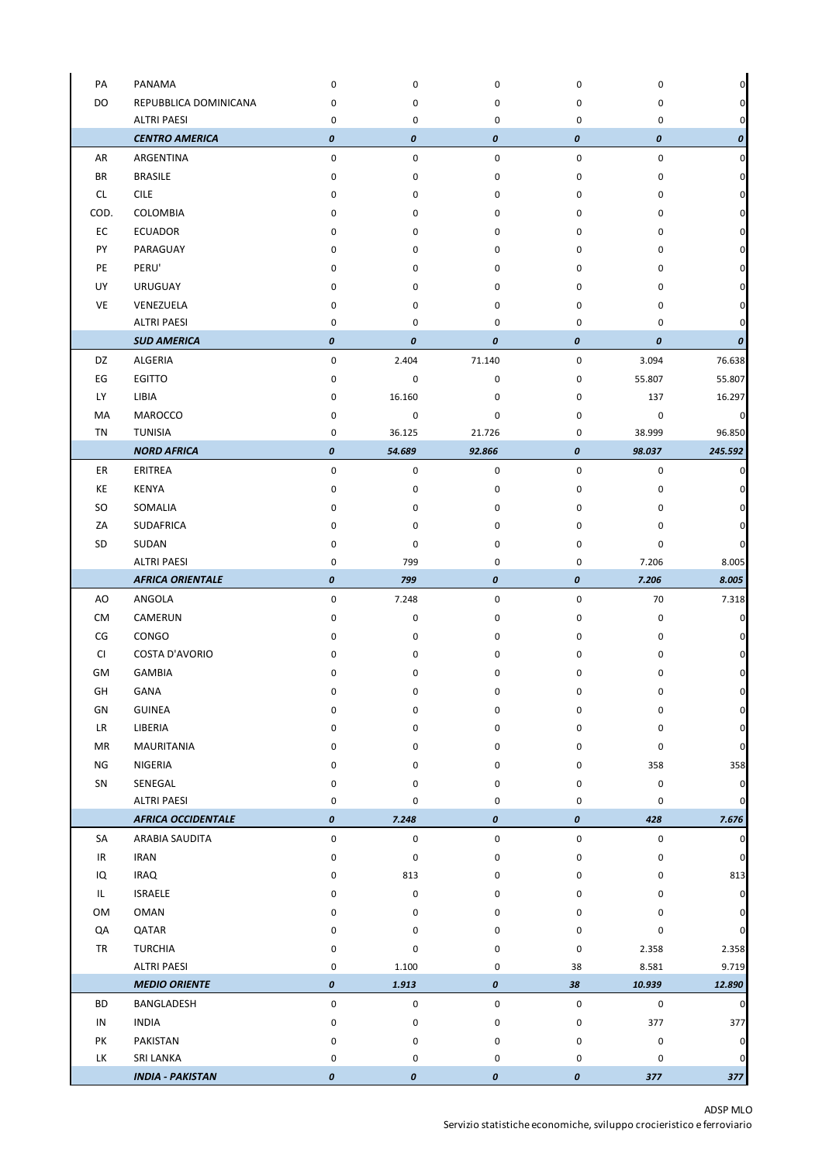| PA        | PANAMA                    | 0                | $\pmb{0}$        | 0                | $\mathbf 0$ | 0         | 0              |
|-----------|---------------------------|------------------|------------------|------------------|-------------|-----------|----------------|
| DO        | REPUBBLICA DOMINICANA     | 0                | 0                | 0                | 0           | 0         | 0              |
|           | <b>ALTRI PAESI</b>        | $\pmb{0}$        | $\pmb{0}$        | $\pmb{0}$        | $\mathbf 0$ | 0         | 0              |
|           | <b>CENTRO AMERICA</b>     | $\boldsymbol{o}$ | $\boldsymbol{o}$ | $\boldsymbol{o}$ | 0           | 0         | 0              |
| AR        | ARGENTINA                 | $\pmb{0}$        | $\pmb{0}$        | $\pmb{0}$        | $\pmb{0}$   | $\pmb{0}$ | 0              |
| <b>BR</b> | <b>BRASILE</b>            | $\pmb{0}$        | $\pmb{0}$        | $\pmb{0}$        | 0           | 0         | 0              |
| <b>CL</b> | <b>CILE</b>               | $\pmb{0}$        | $\pmb{0}$        | $\pmb{0}$        | $\pmb{0}$   | 0         | 0              |
| COD.      | COLOMBIA                  | 0                | 0                | 0                | 0           | 0         | 0              |
| EC        | <b>ECUADOR</b>            | 0                | 0                | 0                | 0           | 0         | 0              |
| PY        | PARAGUAY                  | 0                | 0                | 0                | 0           | 0         | 0              |
| PE        | PERU'                     | 0                | 0                | 0                | 0           | 0         | 0              |
| UY        | URUGUAY                   | 0                | 0                | 0                | 0           | 0         | 0              |
| VE        | VENEZUELA                 | 0                | 0                | 0                | 0           | 0         | 0              |
|           | <b>ALTRI PAESI</b>        | $\pmb{0}$        | 0                | 0                | 0           | 0         | 0              |
|           | <b>SUD AMERICA</b>        | $\pmb{o}$        | 0                | 0                | 0           | 0         | 0              |
| DZ        | <b>ALGERIA</b>            | $\pmb{0}$        | 2.404            | 71.140           | $\pmb{0}$   | 3.094     | 76.638         |
| EG        | <b>EGITTO</b>             | $\pmb{0}$        | $\pmb{0}$        | $\pmb{0}$        | $\pmb{0}$   | 55.807    | 55.807         |
| LY        | LIBIA                     | 0                | 16.160           | 0                | 0           | 137       | 16.297         |
| MA        | MAROCCO                   | 0                | $\pmb{0}$        | 0                | 0           | 0         | 0              |
| TN        | <b>TUNISIA</b>            | $\pmb{0}$        | 36.125           | 21.726           | 0           | 38.999    | 96.850         |
|           | <b>NORD AFRICA</b>        | $\boldsymbol{o}$ | 54.689           | 92.866           | 0           | 98.037    | 245.592        |
|           |                           |                  |                  |                  |             |           |                |
| ER        | ERITREA                   | $\pmb{0}$        | $\mathsf 0$      | 0                | $\pmb{0}$   | 0         | 0              |
| KE        | <b>KENYA</b>              | $\pmb{0}$        | $\pmb{0}$        | 0                | $\pmb{0}$   | 0         | 0              |
| SO        | SOMALIA                   | 0                | 0                | 0                | 0           | 0         | 0              |
| ZA        | SUDAFRICA                 | 0                | 0                | 0                | $\mathbf 0$ | 0         | 0              |
| SD        | SUDAN                     | 0                | $\pmb{0}$        | 0                | $\mathbf 0$ | 0         | 0              |
|           | <b>ALTRI PAESI</b>        | $\pmb{0}$        | 799              | 0                | $\mathbf 0$ | 7.206     | 8.005          |
|           | <b>AFRICA ORIENTALE</b>   | $\boldsymbol{o}$ | 799              | $\boldsymbol{o}$ | 0           | 7.206     | 8.005          |
| AO        | ANGOLA                    | $\pmb{0}$        | 7.248            | $\pmb{0}$        | $\pmb{0}$   | 70        | 7.318          |
| CM        | CAMERUN                   | 0                | $\pmb{0}$        | 0                | 0           | $\pmb{0}$ | 0              |
| CG        | CONGO                     | 0                | 0                | 0                | 0           | 0         | 0              |
| <b>CI</b> | <b>COSTA D'AVORIO</b>     | 0                | 0                | 0                | 0           | 0         | 0              |
| GM        | <b>GAMBIA</b>             | 0                | 0                | 0                | 0           | 0         | 0              |
| GH        | GANA                      | 0                | 0                | 0                | 0           | 0         | $\overline{0}$ |
| GN        | <b>GUINEA</b>             | 0                | 0                | 0                | 0           | 0         | 0              |
| LR        | LIBERIA                   | 0                | 0                | 0                | 0           | 0         | 0              |
| MR        | MAURITANIA                | 0                | 0                | 0                | 0           | 0         | 0              |
| NG        | NIGERIA                   | 0                | 0                | 0                | 0           | 358       | 358            |
| SN        | SENEGAL                   | 0                | 0                | $\pmb{0}$        | $\pmb{0}$   | $\pmb{0}$ | 0              |
|           | <b>ALTRI PAESI</b>        | 0                | 0                | 0                | 0           | 0         | $\mathbf 0$    |
|           | <b>AFRICA OCCIDENTALE</b> | $\pmb{o}$        | 7.248            | 0                | 0           | 428       | 7.676          |
| SA        | ARABIA SAUDITA            | 0                | $\mathsf 0$      | 0                | 0           | 0         | 0              |
| IR        | <b>IRAN</b>               | 0                | 0                | 0                | 0           | 0         | 0              |
| IQ        | <b>IRAQ</b>               | 0                | 813              | 0                | 0           | 0         | 813            |
| IL.       | <b>ISRAELE</b>            | 0                | 0                | 0                | 0           | 0         | 0              |
| OM        | OMAN                      | 0                | 0                | 0                | 0           | 0         | 0              |
| QA        | QATAR                     | 0                | 0                | 0                | 0           | 0         | $\pmb{0}$      |
| TR        | <b>TURCHIA</b>            | 0                | 0                | 0                | $\pmb{0}$   | 2.358     | 2.358          |
|           | <b>ALTRI PAESI</b>        | 0                | 1.100            | 0                | 38          | 8.581     | 9.719          |
|           | <b>MEDIO ORIENTE</b>      | $\pmb{o}$        | 1.913            | 0                | 38          | 10.939    | 12.890         |
| <b>BD</b> | BANGLADESH                | $\pmb{0}$        | 0                | 0                | $\pmb{0}$   | 0         |                |
| IN        | <b>INDIA</b>              | $\pmb{0}$        | 0                | 0                | 0           | 377       | 377            |
| PK        | PAKISTAN                  | 0                | 0                | 0                | 0           | 0         | $\mathbf 0$    |
| LК.       | SRI LANKA                 | 0                | 0                | 0                | 0           | 0         | 0              |
|           | <b>INDIA - PAKISTAN</b>   | $\boldsymbol{o}$ | 0                | 0                | 0           | 377       | 377            |